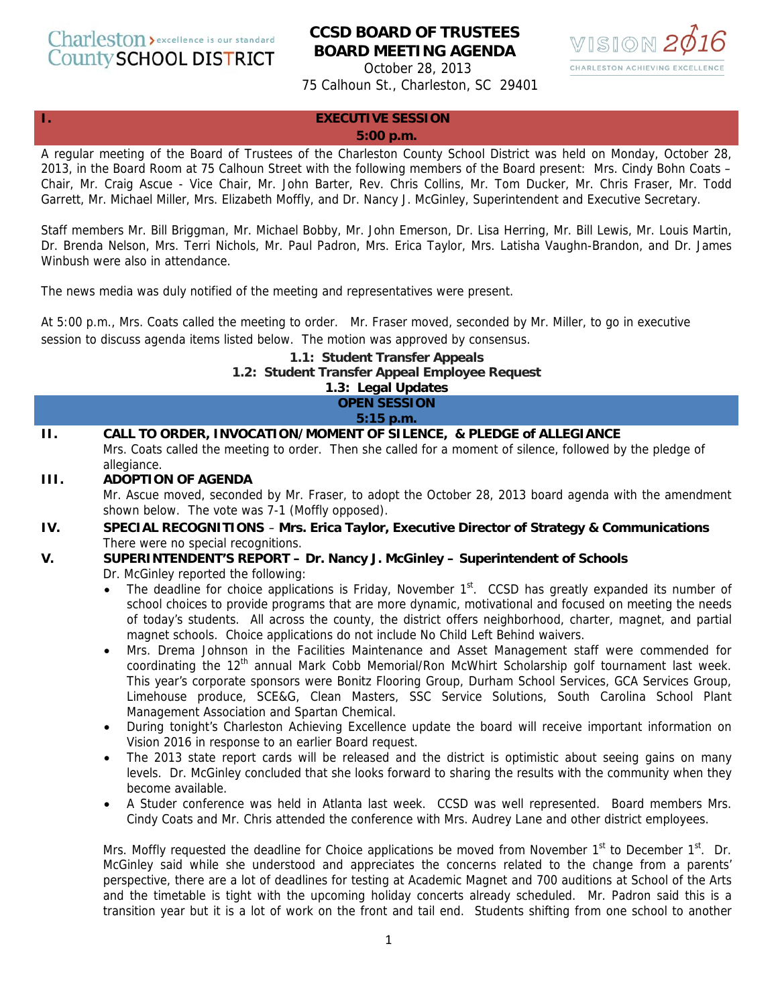Charleston > excellence is our standard County SCHOOL DISTRICT

# **CCSD BOARD OF TRUSTEES BOARD MEETING AGENDA**



October 28, 2013 75 Calhoun St., Charleston, SC 29401

#### **I. EXECUTIVE SESSION**

#### **5:00 p.m.**

A regular meeting of the Board of Trustees of the Charleston County School District was held on Monday, October 28, 2013, in the Board Room at 75 Calhoun Street with the following members of the Board present: Mrs. Cindy Bohn Coats – Chair, Mr. Craig Ascue - Vice Chair, Mr. John Barter, Rev. Chris Collins, Mr. Tom Ducker, Mr. Chris Fraser, Mr. Todd Garrett, Mr. Michael Miller, Mrs. Elizabeth Moffly, and Dr. Nancy J. McGinley, Superintendent and Executive Secretary.

Staff members Mr. Bill Briggman, Mr. Michael Bobby, Mr. John Emerson, Dr. Lisa Herring, Mr. Bill Lewis, Mr. Louis Martin, Dr. Brenda Nelson, Mrs. Terri Nichols, Mr. Paul Padron, Mrs. Erica Taylor, Mrs. Latisha Vaughn-Brandon, and Dr. James Winbush were also in attendance.

The news media was duly notified of the meeting and representatives were present.

At 5:00 p.m., Mrs. Coats called the meeting to order. Mr. Fraser moved, seconded by Mr. Miller, to go in executive session to discuss agenda items listed below. The motion was approved by consensus.

#### **1.1: Student Transfer Appeals 1.2: Student Transfer Appeal Employee Request 1.3: Legal Updates**

# **OPEN SESSION**

**5:15 p.m.** 

- **II. CALL TO ORDER, INVOCATION/MOMENT OF SILENCE, & PLEDGE of ALLEGIANCE**  Mrs. Coats called the meeting to order. Then she called for a moment of silence, followed by the pledge of allegiance.
- **III. ADOPTION OF AGENDA**

Mr. Ascue moved, seconded by Mr. Fraser, to adopt the October 28, 2013 board agenda with the amendment shown below. The vote was 7-1 (Moffly opposed).

- **IV. SPECIAL RECOGNITIONS Mrs. Erica Taylor, Executive Director of Strategy & Communications**  There were no special recognitions.
- **V. SUPERINTENDENT'S REPORT Dr. Nancy J. McGinley Superintendent of Schools**  Dr. McGinley reported the following:
	- The deadline for choice applications is Friday, November 1<sup>st</sup>. CCSD has greatly expanded its number of school choices to provide programs that are more dynamic, motivational and focused on meeting the needs of today's students. All across the county, the district offers neighborhood, charter, magnet, and partial magnet schools. Choice applications do not include No Child Left Behind waivers.
	- Mrs. Drema Johnson in the Facilities Maintenance and Asset Management staff were commended for coordinating the 12<sup>th</sup> annual Mark Cobb Memorial/Ron McWhirt Scholarship golf tournament last week. This year's corporate sponsors were Bonitz Flooring Group, Durham School Services, GCA Services Group, Limehouse produce, SCE&G, Clean Masters, SSC Service Solutions, South Carolina School Plant Management Association and Spartan Chemical.
	- During tonight's Charleston Achieving Excellence update the board will receive important information on Vision 2016 in response to an earlier Board request.
	- The 2013 state report cards will be released and the district is optimistic about seeing gains on many levels. Dr. McGinley concluded that she looks forward to sharing the results with the community when they become available.
	- A Studer conference was held in Atlanta last week. CCSD was well represented. Board members Mrs. Cindy Coats and Mr. Chris attended the conference with Mrs. Audrey Lane and other district employees.

Mrs. Moffly requested the deadline for Choice applications be moved from November  $1<sup>st</sup>$  to December  $1<sup>st</sup>$ . Dr. McGinley said while she understood and appreciates the concerns related to the change from a parents' perspective, there are a lot of deadlines for testing at Academic Magnet and 700 auditions at School of the Arts and the timetable is tight with the upcoming holiday concerts already scheduled. Mr. Padron said this is a transition year but it is a lot of work on the front and tail end. Students shifting from one school to another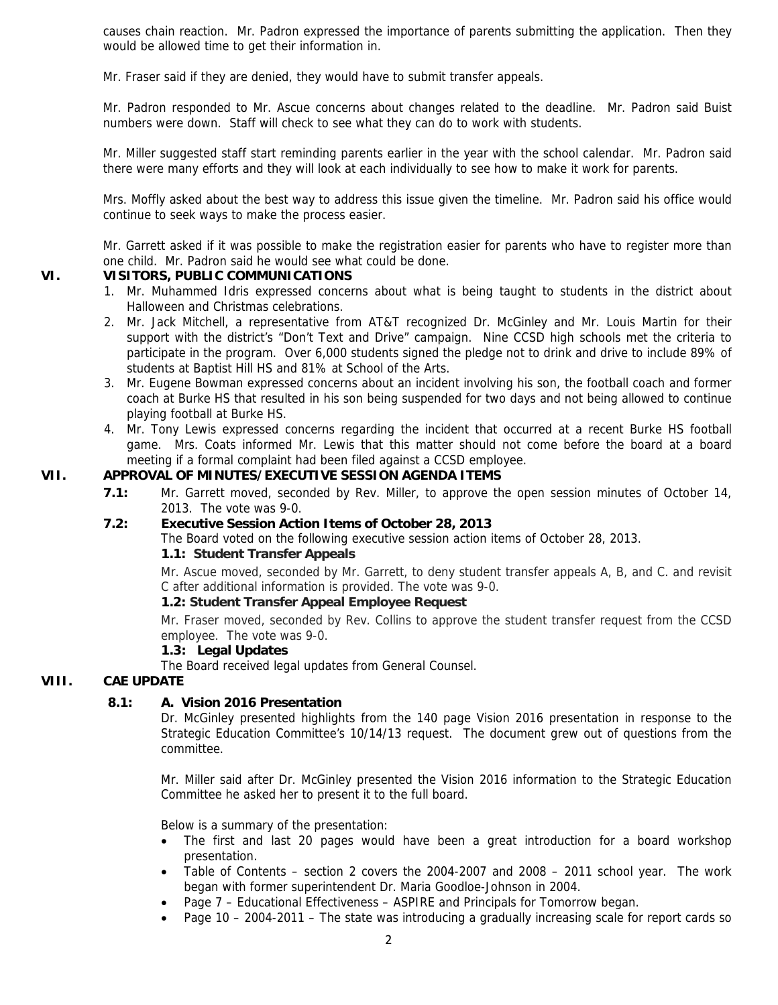causes chain reaction. Mr. Padron expressed the importance of parents submitting the application. Then they would be allowed time to get their information in.

Mr. Fraser said if they are denied, they would have to submit transfer appeals.

Mr. Padron responded to Mr. Ascue concerns about changes related to the deadline. Mr. Padron said Buist numbers were down. Staff will check to see what they can do to work with students.

Mr. Miller suggested staff start reminding parents earlier in the year with the school calendar. Mr. Padron said there were many efforts and they will look at each individually to see how to make it work for parents.

Mrs. Moffly asked about the best way to address this issue given the timeline. Mr. Padron said his office would continue to seek ways to make the process easier.

Mr. Garrett asked if it was possible to make the registration easier for parents who have to register more than one child. Mr. Padron said he would see what could be done.

# **VI. VISITORS, PUBLIC COMMUNICATIONS**

- 1. Mr. Muhammed Idris expressed concerns about what is being taught to students in the district about Halloween and Christmas celebrations.
- 2. Mr. Jack Mitchell, a representative from AT&T recognized Dr. McGinley and Mr. Louis Martin for their support with the district's "Don't Text and Drive" campaign. Nine CCSD high schools met the criteria to participate in the program. Over 6,000 students signed the pledge not to drink and drive to include 89% of students at Baptist Hill HS and 81% at School of the Arts.
- 3. Mr. Eugene Bowman expressed concerns about an incident involving his son, the football coach and former coach at Burke HS that resulted in his son being suspended for two days and not being allowed to continue playing football at Burke HS.
- 4. Mr. Tony Lewis expressed concerns regarding the incident that occurred at a recent Burke HS football game. Mrs. Coats informed Mr. Lewis that this matter should not come before the board at a board meeting if a formal complaint had been filed against a CCSD employee.

# **VII. APPROVAL OF MINUTES/EXECUTIVE SESSION AGENDA ITEMS**

**7.1:** Mr. Garrett moved, seconded by Rev. Miller, to approve the open session minutes of October 14, 2013. The vote was 9-0.

# **7.2: Executive Session Action Items of October 28, 2013**

The Board voted on the following executive session action items of October 28, 2013.

#### **1.1: Student Transfer Appeals**

Mr. Ascue moved, seconded by Mr. Garrett, to deny student transfer appeals A, B, and C. and revisit C after additional information is provided. The vote was 9-0.

# **1.2: Student Transfer Appeal Employee Request**

Mr. Fraser moved, seconded by Rev. Collins to approve the student transfer request from the CCSD employee. The vote was 9-0.

# **1.3: Legal Updates**

The Board received legal updates from General Counsel.

# **VIII. CAE UPDATE**

# **8.1: A. Vision 2016 Presentation**

Dr. McGinley presented highlights from the 140 page Vision 2016 presentation in response to the Strategic Education Committee's 10/14/13 request. The document grew out of questions from the committee.

Mr. Miller said after Dr. McGinley presented the Vision 2016 information to the Strategic Education Committee he asked her to present it to the full board.

Below is a summary of the presentation:

- The first and last 20 pages would have been a great introduction for a board workshop presentation.
- Table of Contents section 2 covers the 2004-2007 and 2008 2011 school year. The work began with former superintendent Dr. Maria Goodloe-Johnson in 2004.
- Page 7 Educational Effectiveness ASPIRE and Principals for Tomorrow began.
- Page 10 2004-2011 The state was introducing a gradually increasing scale for report cards so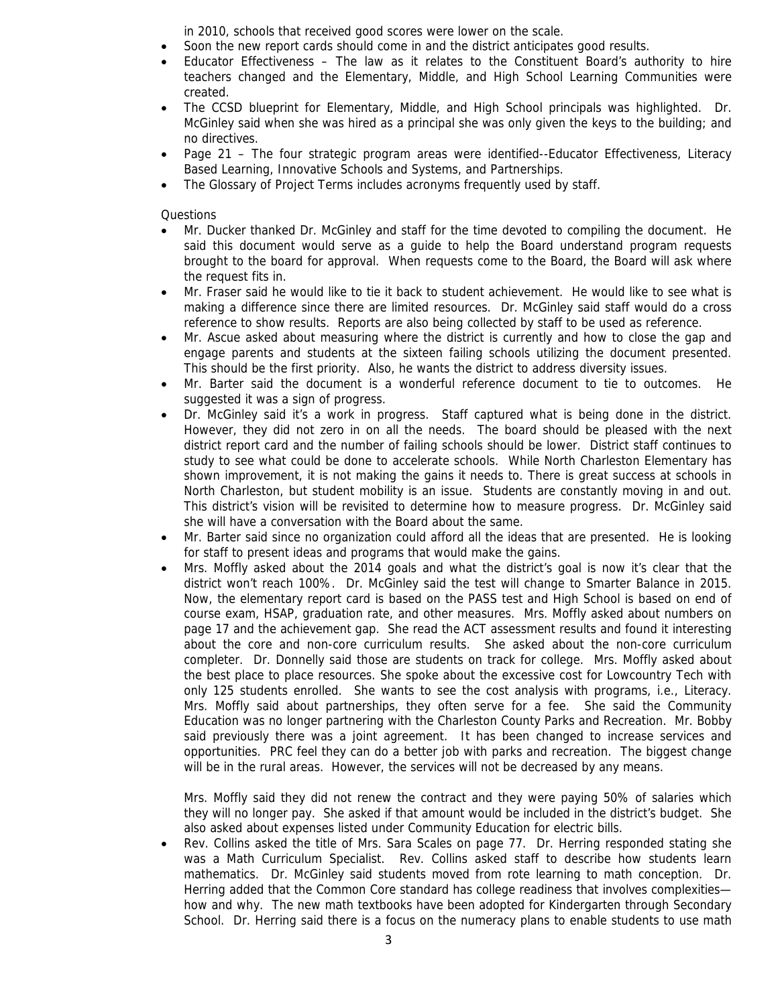in 2010, schools that received good scores were lower on the scale.

- Soon the new report cards should come in and the district anticipates good results.
- Educator Effectiveness The law as it relates to the Constituent Board's authority to hire teachers changed and the Elementary, Middle, and High School Learning Communities were created.
- The CCSD blueprint for Elementary, Middle, and High School principals was highlighted. Dr. McGinley said when she was hired as a principal she was only given the keys to the building; and no directives.
- Page 21 The four strategic program areas were identified--Educator Effectiveness, Literacy Based Learning, Innovative Schools and Systems, and Partnerships.
- The Glossary of Project Terms includes acronyms frequently used by staff.

Questions

- Mr. Ducker thanked Dr. McGinley and staff for the time devoted to compiling the document. He said this document would serve as a guide to help the Board understand program requests brought to the board for approval. When requests come to the Board, the Board will ask where the request fits in.
- Mr. Fraser said he would like to tie it back to student achievement. He would like to see what is making a difference since there are limited resources. Dr. McGinley said staff would do a cross reference to show results. Reports are also being collected by staff to be used as reference.
- Mr. Ascue asked about measuring where the district is currently and how to close the gap and engage parents and students at the sixteen failing schools utilizing the document presented. This should be the first priority. Also, he wants the district to address diversity issues.
- Mr. Barter said the document is a wonderful reference document to tie to outcomes. He suggested it was a sign of progress.
- Dr. McGinley said it's a work in progress. Staff captured what is being done in the district. However, they did not zero in on all the needs. The board should be pleased with the next district report card and the number of failing schools should be lower. District staff continues to study to see what could be done to accelerate schools. While North Charleston Elementary has shown improvement, it is not making the gains it needs to. There is great success at schools in North Charleston, but student mobility is an issue. Students are constantly moving in and out. This district's vision will be revisited to determine how to measure progress. Dr. McGinley said she will have a conversation with the Board about the same.
- Mr. Barter said since no organization could afford all the ideas that are presented. He is looking for staff to present ideas and programs that would make the gains.
- Mrs. Moffly asked about the 2014 goals and what the district's goal is now it's clear that the district won't reach 100%. Dr. McGinley said the test will change to Smarter Balance in 2015. Now, the elementary report card is based on the PASS test and High School is based on end of course exam, HSAP, graduation rate, and other measures. Mrs. Moffly asked about numbers on page 17 and the achievement gap. She read the ACT assessment results and found it interesting about the core and non-core curriculum results. She asked about the non-core curriculum completer. Dr. Donnelly said those are students on track for college. Mrs. Moffly asked about the best place to place resources. She spoke about the excessive cost for Lowcountry Tech with only 125 students enrolled. She wants to see the cost analysis with programs, i.e., Literacy. Mrs. Moffly said about partnerships, they often serve for a fee. She said the Community Education was no longer partnering with the Charleston County Parks and Recreation. Mr. Bobby said previously there was a joint agreement. It has been changed to increase services and opportunities. PRC feel they can do a better job with parks and recreation. The biggest change will be in the rural areas. However, the services will not be decreased by any means.

Mrs. Moffly said they did not renew the contract and they were paying 50% of salaries which they will no longer pay. She asked if that amount would be included in the district's budget. She also asked about expenses listed under Community Education for electric bills.

• Rev. Collins asked the title of Mrs. Sara Scales on page 77. Dr. Herring responded stating she was a Math Curriculum Specialist. Rev. Collins asked staff to describe how students learn mathematics. Dr. McGinley said students moved from rote learning to math conception. Dr. Herring added that the Common Core standard has college readiness that involves complexities how and why. The new math textbooks have been adopted for Kindergarten through Secondary School. Dr. Herring said there is a focus on the numeracy plans to enable students to use math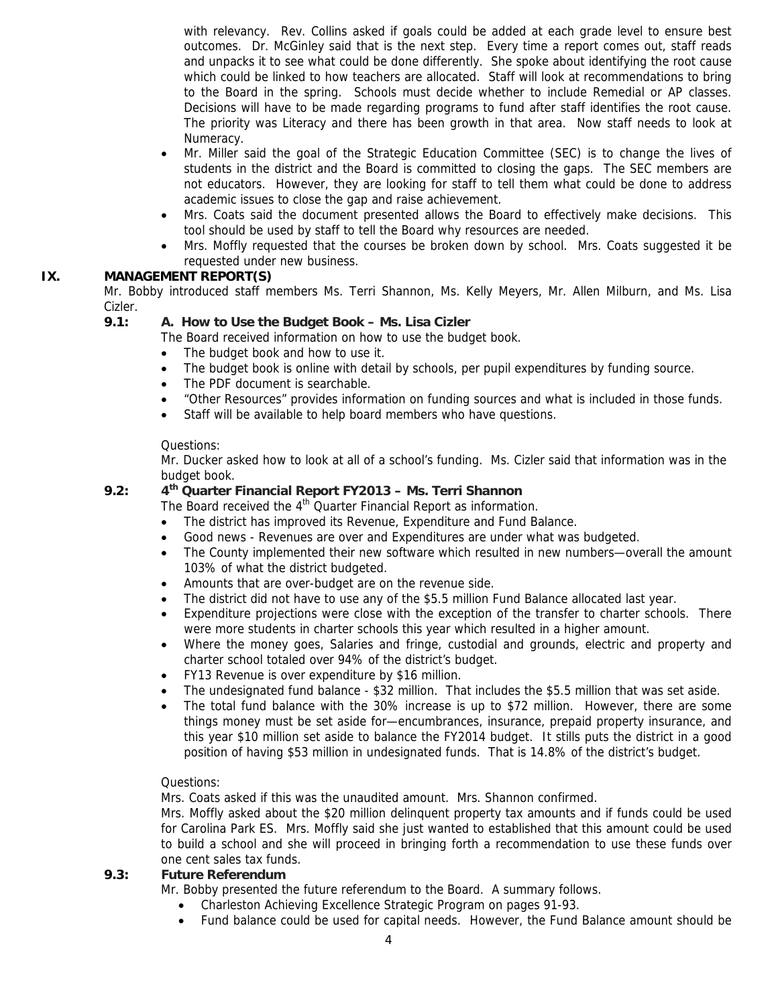with relevancy. Rev. Collins asked if goals could be added at each grade level to ensure best outcomes. Dr. McGinley said that is the next step. Every time a report comes out, staff reads and unpacks it to see what could be done differently. She spoke about identifying the root cause which could be linked to how teachers are allocated. Staff will look at recommendations to bring to the Board in the spring. Schools must decide whether to include Remedial or AP classes. Decisions will have to be made regarding programs to fund after staff identifies the root cause. The priority was Literacy and there has been growth in that area. Now staff needs to look at Numeracy.

- Mr. Miller said the goal of the Strategic Education Committee (SEC) is to change the lives of students in the district and the Board is committed to closing the gaps. The SEC members are not educators. However, they are looking for staff to tell them what could be done to address academic issues to close the gap and raise achievement.
- Mrs. Coats said the document presented allows the Board to effectively make decisions. This tool should be used by staff to tell the Board why resources are needed.
- Mrs. Moffly requested that the courses be broken down by school. Mrs. Coats suggested it be requested under new business.

# **IX. MANAGEMENT REPORT(S)**

Mr. Bobby introduced staff members Ms. Terri Shannon, Ms. Kelly Meyers, Mr. Allen Milburn, and Ms. Lisa Cizler.

#### **9.1: A. How to Use the Budget Book – Ms. Lisa Cizler**

The Board received information on how to use the budget book.

- The budget book and how to use it.
- The budget book is online with detail by schools, per pupil expenditures by funding source.
- The PDF document is searchable.
- "Other Resources" provides information on funding sources and what is included in those funds.
- Staff will be available to help board members who have questions.

#### Questions:

Mr. Ducker asked how to look at all of a school's funding. Ms. Cizler said that information was in the budget book.

# **9.2: 4th Quarter Financial Report FY2013 – Ms. Terri Shannon**

The Board received the 4<sup>th</sup> Quarter Financial Report as information.

- The district has improved its Revenue, Expenditure and Fund Balance.
- Good news Revenues are over and Expenditures are under what was budgeted.
- The County implemented their new software which resulted in new numbers—overall the amount 103% of what the district budgeted.
- Amounts that are over-budget are on the revenue side.
- The district did not have to use any of the \$5.5 million Fund Balance allocated last year.
- Expenditure projections were close with the exception of the transfer to charter schools. There were more students in charter schools this year which resulted in a higher amount.
- Where the money goes, Salaries and fringe, custodial and grounds, electric and property and charter school totaled over 94% of the district's budget.
- FY13 Revenue is over expenditure by \$16 million.
- The undesignated fund balance \$32 million. That includes the \$5.5 million that was set aside.
- The total fund balance with the 30% increase is up to \$72 million. However, there are some things money must be set aside for—encumbrances, insurance, prepaid property insurance, and this year \$10 million set aside to balance the FY2014 budget. It stills puts the district in a good position of having \$53 million in undesignated funds. That is 14.8% of the district's budget.

# Questions:

Mrs. Coats asked if this was the unaudited amount. Mrs. Shannon confirmed.

Mrs. Moffly asked about the \$20 million delinquent property tax amounts and if funds could be used for Carolina Park ES. Mrs. Moffly said she just wanted to established that this amount could be used to build a school and she will proceed in bringing forth a recommendation to use these funds over one cent sales tax funds.

#### **9.3: Future Referendum**

Mr. Bobby presented the future referendum to the Board. A summary follows.

- Charleston Achieving Excellence Strategic Program on pages 91-93.
- Fund balance could be used for capital needs. However, the Fund Balance amount should be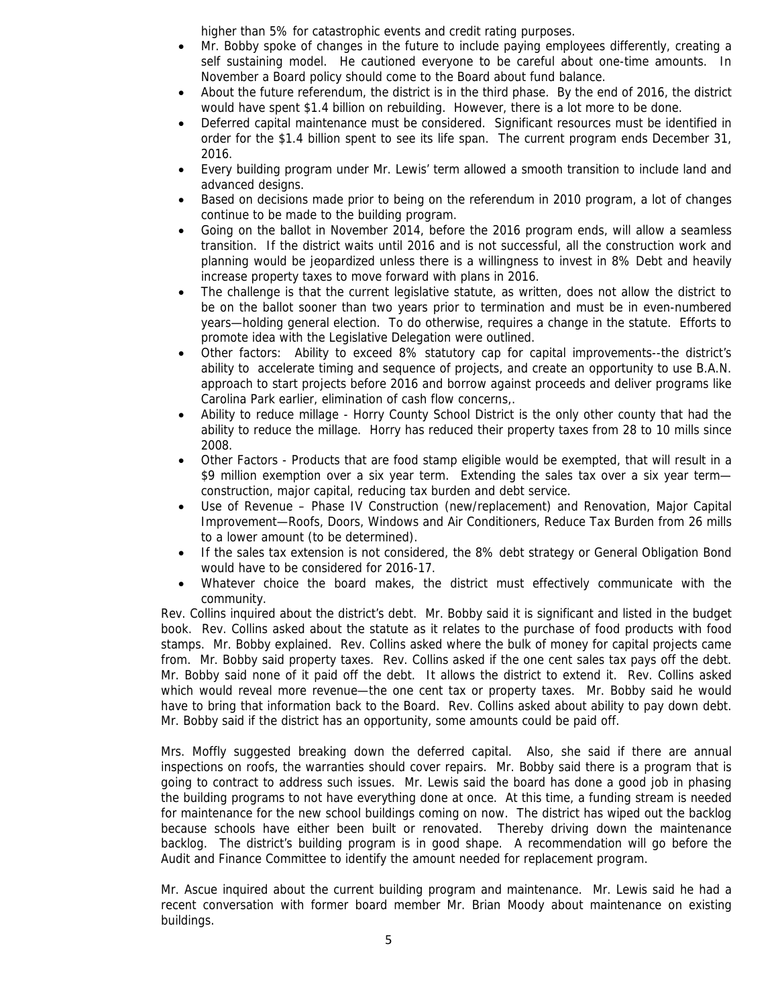higher than 5% for catastrophic events and credit rating purposes.

- Mr. Bobby spoke of changes in the future to include paying employees differently, creating a self sustaining model. He cautioned everyone to be careful about one-time amounts. In November a Board policy should come to the Board about fund balance.
- About the future referendum, the district is in the third phase. By the end of 2016, the district would have spent \$1.4 billion on rebuilding. However, there is a lot more to be done.
- Deferred capital maintenance must be considered. Significant resources must be identified in order for the \$1.4 billion spent to see its life span. The current program ends December 31, 2016.
- Every building program under Mr. Lewis' term allowed a smooth transition to include land and advanced designs.
- Based on decisions made prior to being on the referendum in 2010 program, a lot of changes continue to be made to the building program.
- Going on the ballot in November 2014, before the 2016 program ends, will allow a seamless transition. If the district waits until 2016 and is not successful, all the construction work and planning would be jeopardized unless there is a willingness to invest in 8% Debt and heavily increase property taxes to move forward with plans in 2016.
- The challenge is that the current legislative statute, as written, does not allow the district to be on the ballot sooner than two years prior to termination and must be in even-numbered years—holding general election. To do otherwise, requires a change in the statute. Efforts to promote idea with the Legislative Delegation were outlined.
- Other factors: Ability to exceed 8% statutory cap for capital improvements--the district's ability to accelerate timing and sequence of projects, and create an opportunity to use B.A.N. approach to start projects before 2016 and borrow against proceeds and deliver programs like Carolina Park earlier, elimination of cash flow concerns,.
- Ability to reduce millage Horry County School District is the only other county that had the ability to reduce the millage. Horry has reduced their property taxes from 28 to 10 mills since 2008.
- Other Factors Products that are food stamp eligible would be exempted, that will result in a \$9 million exemption over a six year term. Extending the sales tax over a six year term construction, major capital, reducing tax burden and debt service.
- Use of Revenue Phase IV Construction (new/replacement) and Renovation, Major Capital Improvement—Roofs, Doors, Windows and Air Conditioners, Reduce Tax Burden from 26 mills to a lower amount (to be determined).
- If the sales tax extension is not considered, the 8% debt strategy or General Obligation Bond would have to be considered for 2016-17.
- Whatever choice the board makes, the district must effectively communicate with the community.

Rev. Collins inquired about the district's debt. Mr. Bobby said it is significant and listed in the budget book. Rev. Collins asked about the statute as it relates to the purchase of food products with food stamps. Mr. Bobby explained. Rev. Collins asked where the bulk of money for capital projects came from. Mr. Bobby said property taxes. Rev. Collins asked if the one cent sales tax pays off the debt. Mr. Bobby said none of it paid off the debt. It allows the district to extend it. Rev. Collins asked which would reveal more revenue—the one cent tax or property taxes. Mr. Bobby said he would have to bring that information back to the Board. Rev. Collins asked about ability to pay down debt. Mr. Bobby said if the district has an opportunity, some amounts could be paid off.

Mrs. Moffly suggested breaking down the deferred capital. Also, she said if there are annual inspections on roofs, the warranties should cover repairs. Mr. Bobby said there is a program that is going to contract to address such issues. Mr. Lewis said the board has done a good job in phasing the building programs to not have everything done at once. At this time, a funding stream is needed for maintenance for the new school buildings coming on now. The district has wiped out the backlog because schools have either been built or renovated. Thereby driving down the maintenance backlog. The district's building program is in good shape. A recommendation will go before the Audit and Finance Committee to identify the amount needed for replacement program.

Mr. Ascue inquired about the current building program and maintenance. Mr. Lewis said he had a recent conversation with former board member Mr. Brian Moody about maintenance on existing buildings.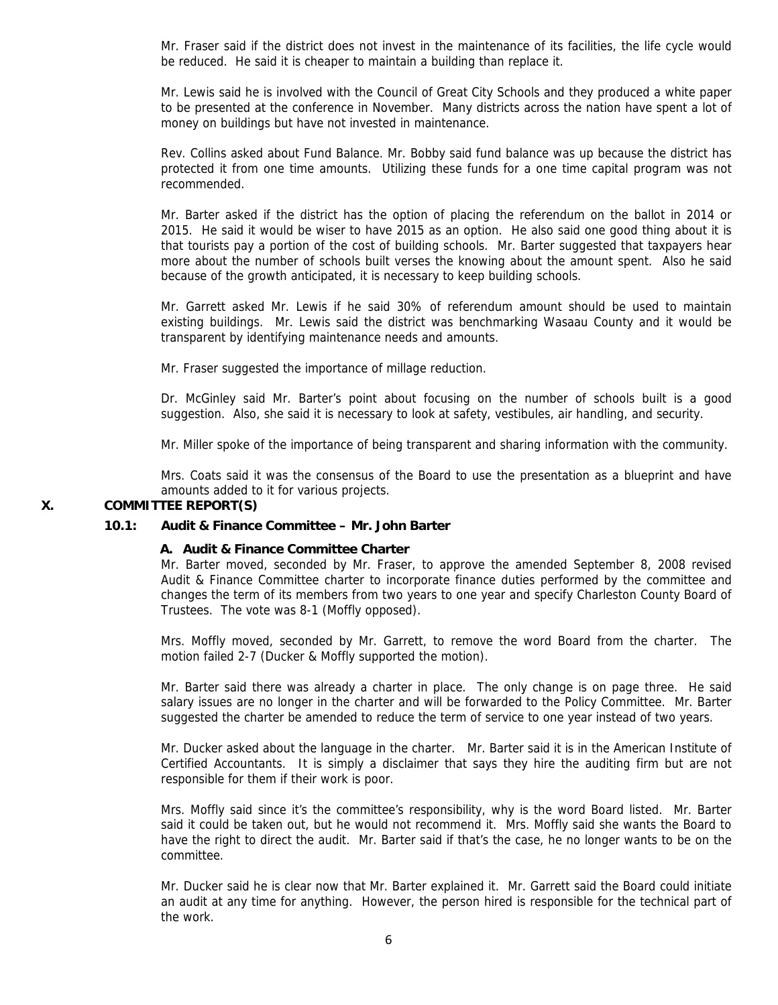Mr. Fraser said if the district does not invest in the maintenance of its facilities, the life cycle would be reduced. He said it is cheaper to maintain a building than replace it.

Mr. Lewis said he is involved with the Council of Great City Schools and they produced a white paper to be presented at the conference in November. Many districts across the nation have spent a lot of money on buildings but have not invested in maintenance.

Rev. Collins asked about Fund Balance. Mr. Bobby said fund balance was up because the district has protected it from one time amounts. Utilizing these funds for a one time capital program was not recommended.

Mr. Barter asked if the district has the option of placing the referendum on the ballot in 2014 or 2015. He said it would be wiser to have 2015 as an option. He also said one good thing about it is that tourists pay a portion of the cost of building schools. Mr. Barter suggested that taxpayers hear more about the number of schools built verses the knowing about the amount spent. Also he said because of the growth anticipated, it is necessary to keep building schools.

Mr. Garrett asked Mr. Lewis if he said 30% of referendum amount should be used to maintain existing buildings. Mr. Lewis said the district was benchmarking Wasaau County and it would be transparent by identifying maintenance needs and amounts.

Mr. Fraser suggested the importance of millage reduction.

Dr. McGinley said Mr. Barter's point about focusing on the number of schools built is a good suggestion. Also, she said it is necessary to look at safety, vestibules, air handling, and security.

Mr. Miller spoke of the importance of being transparent and sharing information with the community.

Mrs. Coats said it was the consensus of the Board to use the presentation as a blueprint and have amounts added to it for various projects.

# **X. COMMITTEE REPORT(S)**

#### **10.1: Audit & Finance Committee – Mr. John Barter**

#### **A. Audit & Finance Committee Charter**

Mr. Barter moved, seconded by Mr. Fraser, to approve the amended September 8, 2008 revised Audit & Finance Committee charter to incorporate finance duties performed by the committee and changes the term of its members from two years to one year and specify Charleston County Board of Trustees. The vote was 8-1 (Moffly opposed).

Mrs. Moffly moved, seconded by Mr. Garrett, to remove the word Board from the charter. The motion failed 2-7 (Ducker & Moffly supported the motion).

Mr. Barter said there was already a charter in place. The only change is on page three. He said salary issues are no longer in the charter and will be forwarded to the Policy Committee. Mr. Barter suggested the charter be amended to reduce the term of service to one year instead of two years.

Mr. Ducker asked about the language in the charter. Mr. Barter said it is in the American Institute of Certified Accountants. It is simply a disclaimer that says they hire the auditing firm but are not responsible for them if their work is poor.

Mrs. Moffly said since it's the committee's responsibility, why is the word Board listed. Mr. Barter said it could be taken out, but he would not recommend it. Mrs. Moffly said she wants the Board to have the right to direct the audit. Mr. Barter said if that's the case, he no longer wants to be on the committee.

Mr. Ducker said he is clear now that Mr. Barter explained it. Mr. Garrett said the Board could initiate an audit at any time for anything. However, the person hired is responsible for the technical part of the work.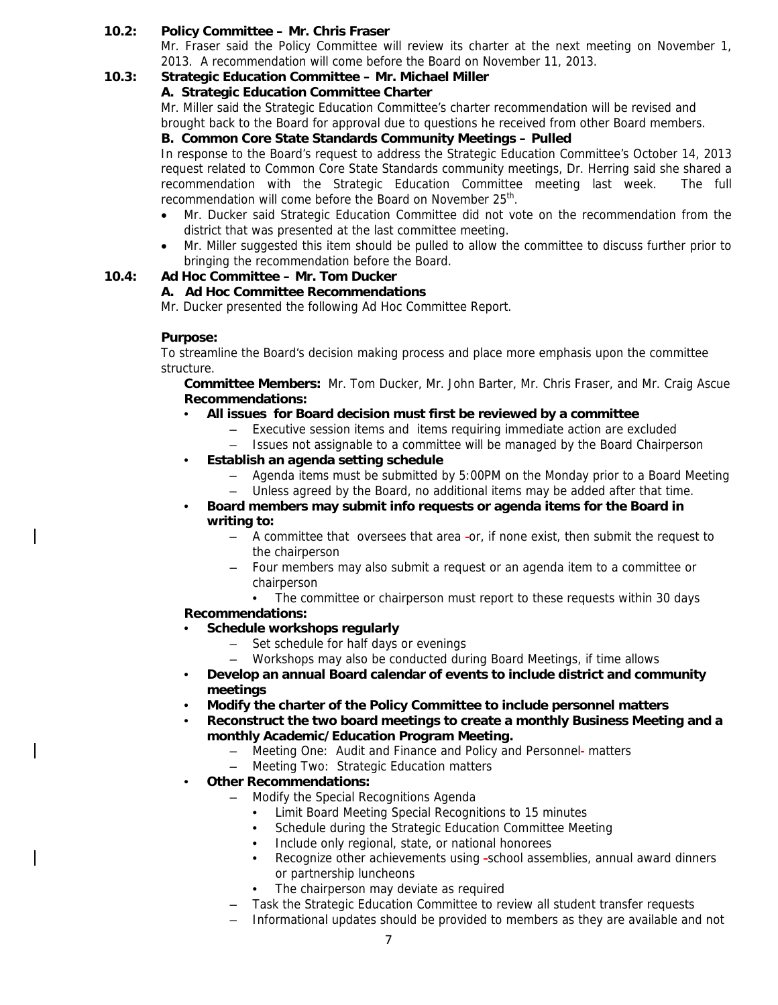# **10.2: Policy Committee – Mr. Chris Fraser**

Mr. Fraser said the Policy Committee will review its charter at the next meeting on November 1, 2013. A recommendation will come before the Board on November 11, 2013.

# **10.3: Strategic Education Committee – Mr. Michael Miller**

# **A. Strategic Education Committee Charter**

Mr. Miller said the Strategic Education Committee's charter recommendation will be revised and brought back to the Board for approval due to questions he received from other Board members.

# **B. Common Core State Standards Community Meetings – Pulled**

In response to the Board's request to address the Strategic Education Committee's October 14, 2013 request related to Common Core State Standards community meetings, Dr. Herring said she shared a recommendation with the Strategic Education Committee meeting last week. The full recommendation will come before the Board on November 25<sup>th</sup>.

- Mr. Ducker said Strategic Education Committee did not vote on the recommendation from the district that was presented at the last committee meeting.
- Mr. Miller suggested this item should be pulled to allow the committee to discuss further prior to bringing the recommendation before the Board.

# **10.4: Ad Hoc Committee – Mr. Tom Ducker**

# **A. Ad Hoc Committee Recommendations**

Mr. Ducker presented the following Ad Hoc Committee Report.

# **Purpose:**

To streamline the Board's decision making process and place more emphasis upon the committee structure.

**Committee Members:** Mr. Tom Ducker, Mr. John Barter, Mr. Chris Fraser, and Mr. Craig Ascue **Recommendations:** 

- **All issues for Board decision must first be reviewed by a committee** 
	- Executive session items and items requiring immediate action are excluded
	- Issues not assignable to a committee will be managed by the Board Chairperson
- **Establish an agenda setting schedule**
	- Agenda items must be submitted by 5:00PM on the Monday prior to a Board Meeting
	- Unless agreed by the Board, no additional items may be added after that time.
- **Board members may submit info requests or agenda items for the Board in writing to:**
	- A committee that oversees that area or, if none exist, then submit the request to the chairperson
	- Four members may also submit a request or an agenda item to a committee or chairperson
		- The committee or chairperson must report to these requests within 30 days

# **Recommendations:**

- **Schedule workshops regularly**
	- Set schedule for half days or evenings
	- Workshops may also be conducted during Board Meetings, if time allows
- **Develop an annual Board calendar of events to include district and community meetings**
- **Modify the charter of the Policy Committee to include personnel matters**
- **Reconstruct the two board meetings to create a monthly Business Meeting and a monthly Academic/Education Program Meeting.**
	- Meeting One: Audit and Finance and Policy and Personnel-matters
	- Meeting Two: Strategic Education matters
- **Other Recommendations:**
	- Modify the Special Recognitions Agenda
		- Limit Board Meeting Special Recognitions to 15 minutes
		- Schedule during the Strategic Education Committee Meeting
		- Include only regional, state, or national honorees
		- Recognize other achievements using -school assemblies, annual award dinners or partnership luncheons
		- The chairperson may deviate as required
	- Task the Strategic Education Committee to review all student transfer requests
	- Informational updates should be provided to members as they are available and not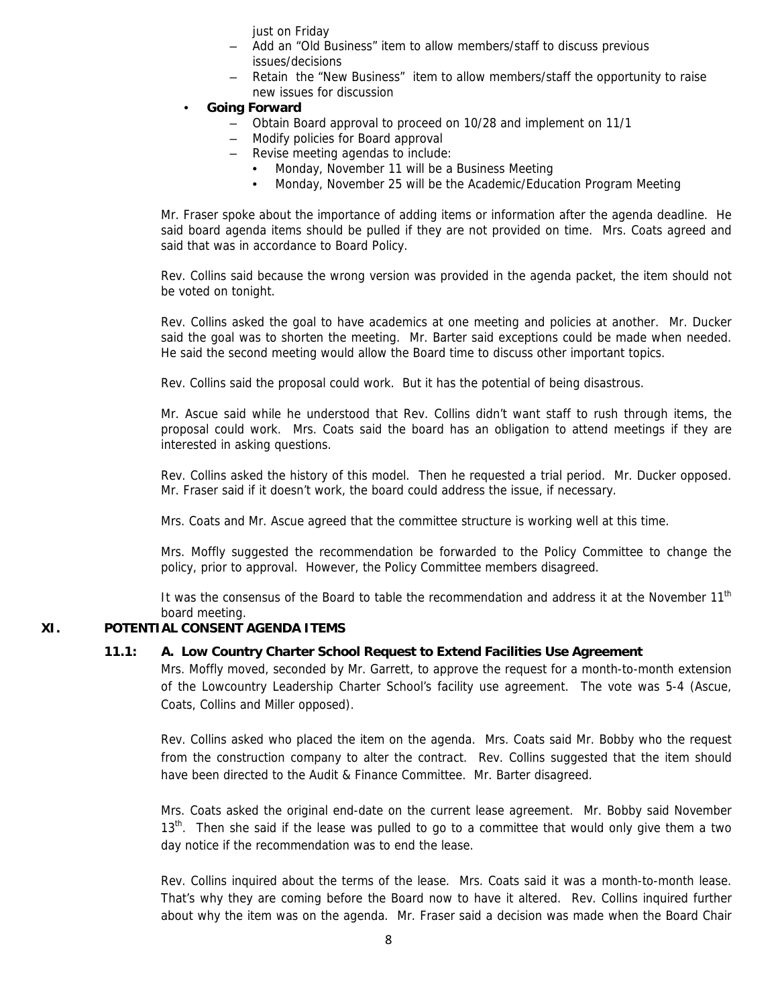just on Friday

- Add an "Old Business" item to allow members/staff to discuss previous issues/decisions
- Retain the "New Business" item to allow members/staff the opportunity to raise new issues for discussion
- **Going Forward**
	- Obtain Board approval to proceed on 10/28 and implement on 11/1
	- Modify policies for Board approval
	- Revise meeting agendas to include:
		- Monday, November 11 will be a Business Meeting
		- Monday, November 25 will be the Academic/Education Program Meeting

Mr. Fraser spoke about the importance of adding items or information after the agenda deadline. He said board agenda items should be pulled if they are not provided on time. Mrs. Coats agreed and said that was in accordance to Board Policy.

Rev. Collins said because the wrong version was provided in the agenda packet, the item should not be voted on tonight.

Rev. Collins asked the goal to have academics at one meeting and policies at another. Mr. Ducker said the goal was to shorten the meeting. Mr. Barter said exceptions could be made when needed. He said the second meeting would allow the Board time to discuss other important topics.

Rev. Collins said the proposal could work. But it has the potential of being disastrous.

Mr. Ascue said while he understood that Rev. Collins didn't want staff to rush through items, the proposal could work. Mrs. Coats said the board has an obligation to attend meetings if they are interested in asking questions.

Rev. Collins asked the history of this model. Then he requested a trial period. Mr. Ducker opposed. Mr. Fraser said if it doesn't work, the board could address the issue, if necessary.

Mrs. Coats and Mr. Ascue agreed that the committee structure is working well at this time.

Mrs. Moffly suggested the recommendation be forwarded to the Policy Committee to change the policy, prior to approval. However, the Policy Committee members disagreed.

It was the consensus of the Board to table the recommendation and address it at the November 11<sup>th</sup> board meeting.

# **XI. POTENTIAL CONSENT AGENDA ITEMS**

# **11.1: A. Low Country Charter School Request to Extend Facilities Use Agreement**

Mrs. Moffly moved, seconded by Mr. Garrett, to approve the request for a month-to-month extension of the Lowcountry Leadership Charter School's facility use agreement. The vote was 5-4 (Ascue, Coats, Collins and Miller opposed).

Rev. Collins asked who placed the item on the agenda. Mrs. Coats said Mr. Bobby who the request from the construction company to alter the contract. Rev. Collins suggested that the item should have been directed to the Audit & Finance Committee. Mr. Barter disagreed.

Mrs. Coats asked the original end-date on the current lease agreement. Mr. Bobby said November 13<sup>th</sup>. Then she said if the lease was pulled to go to a committee that would only give them a two day notice if the recommendation was to end the lease.

Rev. Collins inquired about the terms of the lease. Mrs. Coats said it was a month-to-month lease. That's why they are coming before the Board now to have it altered. Rev. Collins inquired further about why the item was on the agenda. Mr. Fraser said a decision was made when the Board Chair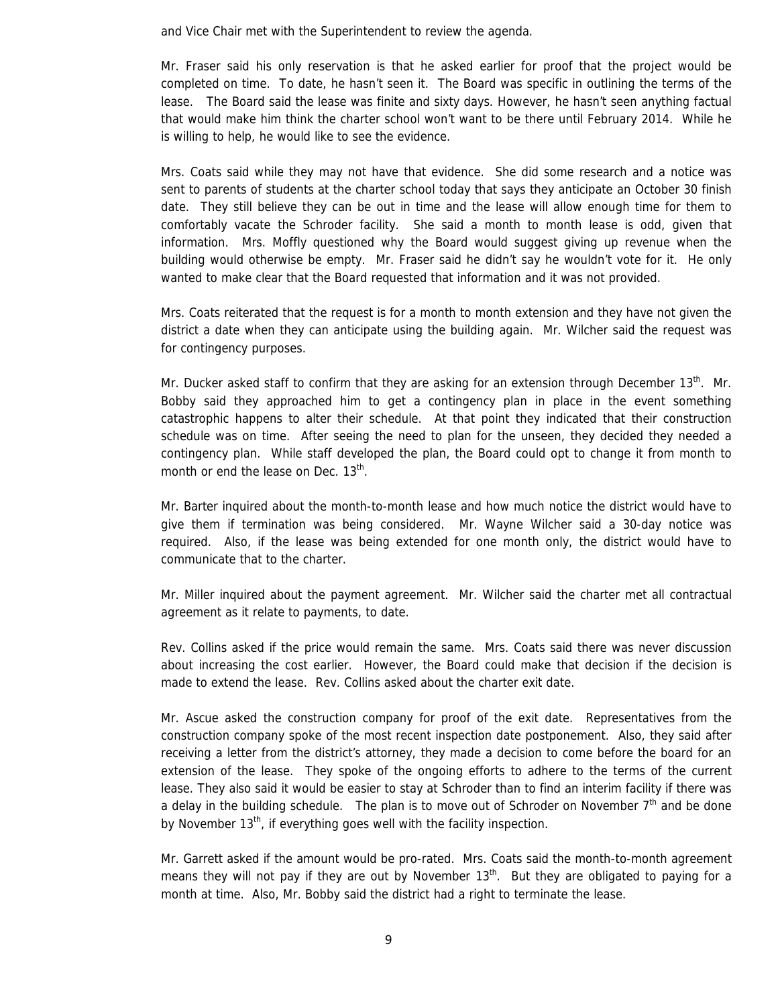and Vice Chair met with the Superintendent to review the agenda.

Mr. Fraser said his only reservation is that he asked earlier for proof that the project would be completed on time. To date, he hasn't seen it. The Board was specific in outlining the terms of the lease. The Board said the lease was finite and sixty days. However, he hasn't seen anything factual that would make him think the charter school won't want to be there until February 2014. While he is willing to help, he would like to see the evidence.

Mrs. Coats said while they may not have that evidence. She did some research and a notice was sent to parents of students at the charter school today that says they anticipate an October 30 finish date. They still believe they can be out in time and the lease will allow enough time for them to comfortably vacate the Schroder facility. She said a month to month lease is odd, given that information. Mrs. Moffly questioned why the Board would suggest giving up revenue when the building would otherwise be empty. Mr. Fraser said he didn't say he wouldn't vote for it. He only wanted to make clear that the Board requested that information and it was not provided.

Mrs. Coats reiterated that the request is for a month to month extension and they have not given the district a date when they can anticipate using the building again. Mr. Wilcher said the request was for contingency purposes.

Mr. Ducker asked staff to confirm that they are asking for an extension through December 13<sup>th</sup>. Mr. Bobby said they approached him to get a contingency plan in place in the event something catastrophic happens to alter their schedule. At that point they indicated that their construction schedule was on time. After seeing the need to plan for the unseen, they decided they needed a contingency plan. While staff developed the plan, the Board could opt to change it from month to month or end the lease on Dec.  $13<sup>th</sup>$ .

Mr. Barter inquired about the month-to-month lease and how much notice the district would have to give them if termination was being considered. Mr. Wayne Wilcher said a 30-day notice was required. Also, if the lease was being extended for one month only, the district would have to communicate that to the charter.

Mr. Miller inquired about the payment agreement. Mr. Wilcher said the charter met all contractual agreement as it relate to payments, to date.

Rev. Collins asked if the price would remain the same. Mrs. Coats said there was never discussion about increasing the cost earlier. However, the Board could make that decision if the decision is made to extend the lease. Rev. Collins asked about the charter exit date.

Mr. Ascue asked the construction company for proof of the exit date. Representatives from the construction company spoke of the most recent inspection date postponement. Also, they said after receiving a letter from the district's attorney, they made a decision to come before the board for an extension of the lease. They spoke of the ongoing efforts to adhere to the terms of the current lease. They also said it would be easier to stay at Schroder than to find an interim facility if there was a delay in the building schedule. The plan is to move out of Schroder on November  $7<sup>th</sup>$  and be done by November 13<sup>th</sup>, if everything goes well with the facility inspection.

Mr. Garrett asked if the amount would be pro-rated. Mrs. Coats said the month-to-month agreement means they will not pay if they are out by November  $13<sup>th</sup>$ . But they are obligated to paying for a month at time. Also, Mr. Bobby said the district had a right to terminate the lease.